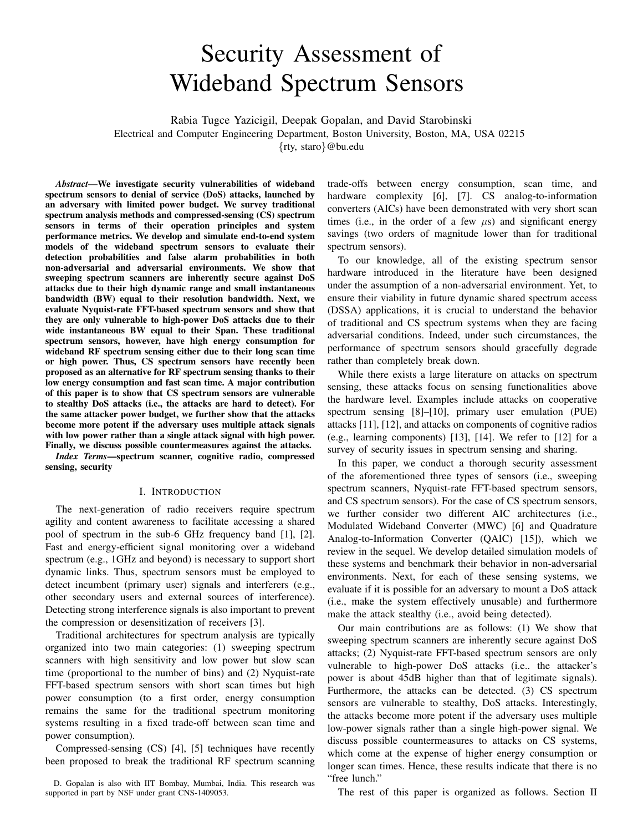# Security Assessment of Wideband Spectrum Sensors

Rabia Tugce Yazicigil, Deepak Gopalan, and David Starobinski Electrical and Computer Engineering Department, Boston University, Boston, MA, USA 02215 *{*rty, staro*}*@bu.edu

*Abstract*—We investigate security vulnerabilities of wideband spectrum sensors to denial of service (DoS) attacks, launched by an adversary with limited power budget. We survey traditional spectrum analysis methods and compressed-sensing (CS) spectrum sensors in terms of their operation principles and system performance metrics. We develop and simulate end-to-end system models of the wideband spectrum sensors to evaluate their detection probabilities and false alarm probabilities in both non-adversarial and adversarial environments. We show that sweeping spectrum scanners are inherently secure against DoS attacks due to their high dynamic range and small instantaneous bandwidth (BW) equal to their resolution bandwidth. Next, we evaluate Nyquist-rate FFT-based spectrum sensors and show that they are only vulnerable to high-power DoS attacks due to their wide instantaneous BW equal to their Span. These traditional spectrum sensors, however, have high energy consumption for wideband RF spectrum sensing either due to their long scan time or high power. Thus, CS spectrum sensors have recently been proposed as an alternative for RF spectrum sensing thanks to their low energy consumption and fast scan time. A major contribution of this paper is to show that CS spectrum sensors are vulnerable to stealthy DoS attacks (i.e., the attacks are hard to detect). For the same attacker power budget, we further show that the attacks become more potent if the adversary uses multiple attack signals with low power rather than a single attack signal with high power. Finally, we discuss possible countermeasures against the attacks.

*Index Terms*—spectrum scanner, cognitive radio, compressed sensing, security

## I. INTRODUCTION

The next-generation of radio receivers require spectrum agility and content awareness to facilitate accessing a shared pool of spectrum in the sub-6 GHz frequency band [1], [2]. Fast and energy-efficient signal monitoring over a wideband spectrum (e.g., 1GHz and beyond) is necessary to support short dynamic links. Thus, spectrum sensors must be employed to detect incumbent (primary user) signals and interferers (e.g., other secondary users and external sources of interference). Detecting strong interference signals is also important to prevent the compression or desensitization of receivers [3].

Traditional architectures for spectrum analysis are typically organized into two main categories: (1) sweeping spectrum scanners with high sensitivity and low power but slow scan time (proportional to the number of bins) and (2) Nyquist-rate FFT-based spectrum sensors with short scan times but high power consumption (to a first order, energy consumption remains the same for the traditional spectrum monitoring systems resulting in a fixed trade-off between scan time and power consumption).

Compressed-sensing (CS) [4], [5] techniques have recently been proposed to break the traditional RF spectrum scanning trade-offs between energy consumption, scan time, and hardware complexity [6], [7]. CS analog-to-information converters (AICs) have been demonstrated with very short scan times (i.e., in the order of a few *µ*s) and significant energy savings (two orders of magnitude lower than for traditional spectrum sensors).

To our knowledge, all of the existing spectrum sensor hardware introduced in the literature have been designed under the assumption of a non-adversarial environment. Yet, to ensure their viability in future dynamic shared spectrum access (DSSA) applications, it is crucial to understand the behavior of traditional and CS spectrum systems when they are facing adversarial conditions. Indeed, under such circumstances, the performance of spectrum sensors should gracefully degrade rather than completely break down.

While there exists a large literature on attacks on spectrum sensing, these attacks focus on sensing functionalities above the hardware level. Examples include attacks on cooperative spectrum sensing [8]–[10], primary user emulation (PUE) attacks [11], [12], and attacks on components of cognitive radios (e.g., learning components) [13], [14]. We refer to [12] for a survey of security issues in spectrum sensing and sharing.

In this paper, we conduct a thorough security assessment of the aforementioned three types of sensors (i.e., sweeping spectrum scanners, Nyquist-rate FFT-based spectrum sensors, and CS spectrum sensors). For the case of CS spectrum sensors, we further consider two different AIC architectures (i.e., Modulated Wideband Converter (MWC) [6] and Quadrature Analog-to-Information Converter (QAIC) [15]), which we review in the sequel. We develop detailed simulation models of these systems and benchmark their behavior in non-adversarial environments. Next, for each of these sensing systems, we evaluate if it is possible for an adversary to mount a DoS attack (i.e., make the system effectively unusable) and furthermore make the attack stealthy (i.e., avoid being detected).

Our main contributions are as follows: (1) We show that sweeping spectrum scanners are inherently secure against DoS attacks; (2) Nyquist-rate FFT-based spectrum sensors are only vulnerable to high-power DoS attacks (i.e.. the attacker's power is about 45dB higher than that of legitimate signals). Furthermore, the attacks can be detected. (3) CS spectrum sensors are vulnerable to stealthy, DoS attacks. Interestingly, the attacks become more potent if the adversary uses multiple low-power signals rather than a single high-power signal. We discuss possible countermeasures to attacks on CS systems, which come at the expense of higher energy consumption or longer scan times. Hence, these results indicate that there is no "free lunch."

The rest of this paper is organized as follows. Section II

D. Gopalan is also with IIT Bombay, Mumbai, India. This research was supported in part by NSF under grant CNS-1409053.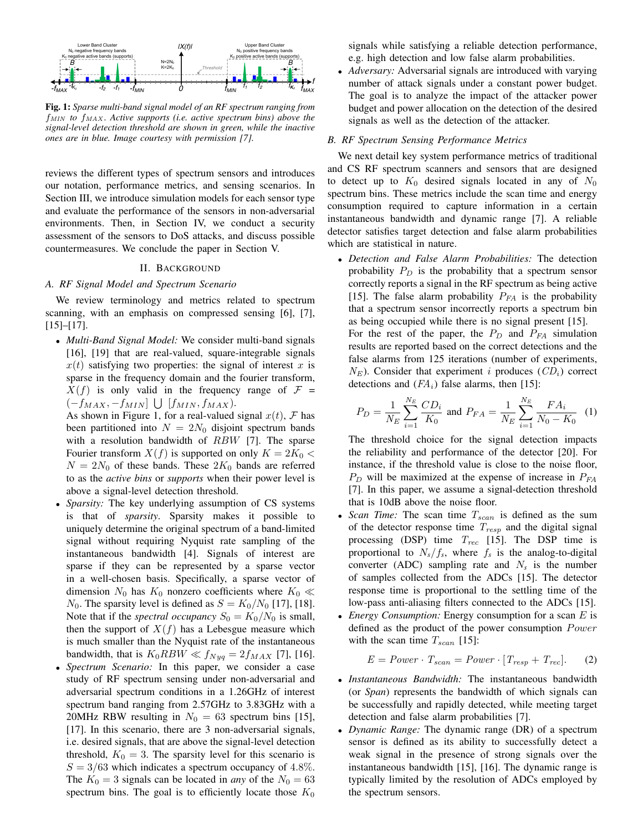

Fig. 1: *Sparse multi-band signal model of an RF spectrum ranging from fMIN to fMAX . Active supports (i.e. active spectrum bins) above the signal-level detection threshold are shown in green, while the inactive ones are in blue. Image courtesy with permission [7].*

reviews the different types of spectrum sensors and introduces our notation, performance metrics, and sensing scenarios. In Section III, we introduce simulation models for each sensor type and evaluate the performance of the sensors in non-adversarial environments. Then, in Section IV, we conduct a security assessment of the sensors to DoS attacks, and discuss possible countermeasures. We conclude the paper in Section V.

#### II. BACKGROUND

#### *A. RF Signal Model and Spectrum Scenario*

We review terminology and metrics related to spectrum scanning, with an emphasis on compressed sensing [6], [7], [15]–[17].

*• Multi-Band Signal Model:* We consider multi-band signals [16], [19] that are real-valued, square-integrable signals  $x(t)$  satisfying two properties: the signal of interest x is sparse in the frequency domain and the fourier transform,  $X(f)$  is only valid in the frequency range of  $\mathcal{F}$  =  $(-f_{MAX}, -f_{MIN}] \bigcup [f_{MIN}, f_{MAX}).$ 

As shown in Figure 1, for a real-valued signal  $x(t)$ ,  $\mathcal F$  has been partitioned into  $N = 2N_0$  disjoint spectrum bands with a resolution bandwidth of *RBW* [7]. The sparse Fourier transform  $X(f)$  is supported on only  $K = 2K_0 <$  $N = 2N_0$  of these bands. These  $2K_0$  bands are referred to as the *active bins* or *supports* when their power level is above a signal-level detection threshold.

- *• Sparsity:* The key underlying assumption of CS systems is that of *sparsity*. Sparsity makes it possible to uniquely determine the original spectrum of a band-limited signal without requiring Nyquist rate sampling of the instantaneous bandwidth [4]. Signals of interest are sparse if they can be represented by a sparse vector in a well-chosen basis. Specifically, a sparse vector of dimension  $N_0$  has  $K_0$  nonzero coefficients where  $K_0 \ll$  $N_0$ . The sparsity level is defined as  $S = K_0/N_0$  [17], [18]. Note that if the *spectral occupancy*  $S_0 = K_0/N_0$  is small, then the support of  $X(f)$  has a Lebesgue measure which is much smaller than the Nyquist rate of the instantaneous bandwidth, that is  $K_0RBW \ll f_{Nyq} = 2f_{MAX}$  [7], [16].
- *• Spectrum Scenario:* In this paper, we consider a case study of RF spectrum sensing under non-adversarial and adversarial spectrum conditions in a 1.26GHz of interest spectrum band ranging from 2.57GHz to 3.83GHz with a 20MHz RBW resulting in  $N_0 = 63$  spectrum bins [15], [17]. In this scenario, there are 3 non-adversarial signals, i.e. desired signals, that are above the signal-level detection threshold,  $K_0 = 3$ . The sparsity level for this scenario is  $S = 3/63$  which indicates a spectrum occupancy of 4.8%. The  $K_0 = 3$  signals can be located in *any* of the  $N_0 = 63$ spectrum bins. The goal is to efficiently locate those  $K_0$

signals while satisfying a reliable detection performance, e.g. high detection and low false alarm probabilities.

*• Adversary:* Adversarial signals are introduced with varying number of attack signals under a constant power budget. The goal is to analyze the impact of the attacker power budget and power allocation on the detection of the desired signals as well as the detection of the attacker.

## *B. RF Spectrum Sensing Performance Metrics*

We next detail key system performance metrics of traditional and CS RF spectrum scanners and sensors that are designed to detect up to  $K_0$  desired signals located in any of  $N_0$ spectrum bins. These metrics include the scan time and energy consumption required to capture information in a certain instantaneous bandwidth and dynamic range [7]. A reliable detector satisfies target detection and false alarm probabilities which are statistical in nature.

*• Detection and False Alarm Probabilities:* The detection probability  $P_D$  is the probability that a spectrum sensor correctly reports a signal in the RF spectrum as being active [15]. The false alarm probability  $P_{FA}$  is the probability that a spectrum sensor incorrectly reports a spectrum bin as being occupied while there is no signal present [15]. For the rest of the paper, the  $P_D$  and  $P_{FA}$  simulation

results are reported based on the correct detections and the false alarms from 125 iterations (number of experiments,  $N_E$ ). Consider that experiment *i* produces  $(CD_i)$  correct detections and  $(FA_i)$  false alarms, then [15]:

$$
P_D = \frac{1}{N_E} \sum_{i=1}^{N_E} \frac{CD_i}{K_0} \text{ and } P_{FA} = \frac{1}{N_E} \sum_{i=1}^{N_E} \frac{FA_i}{N_0 - K_0} \tag{1}
$$

The threshold choice for the signal detection impacts the reliability and performance of the detector [20]. For instance, if the threshold value is close to the noise floor, *P<sup>D</sup>* will be maximized at the expense of increase in *PFA* [7]. In this paper, we assume a signal-detection threshold that is 10dB above the noise floor.

- *• Scan Time:* The scan time *Tscan* is defined as the sum of the detector response time *Tresp* and the digital signal processing (DSP) time *Trec* [15]. The DSP time is proportional to  $N_s/f_s$ , where  $f_s$  is the analog-to-digital converter (ADC) sampling rate and  $N_s$  is the number of samples collected from the ADCs [15]. The detector response time is proportional to the settling time of the low-pass anti-aliasing filters connected to the ADCs [15].
- *• Energy Consumption:* Energy consumption for a scan *E* is defined as the product of the power consumption *Power* with the scan time *Tscan* [15]:

$$
E = Power \cdot T_{scan} = Power \cdot [T_{resp} + T_{rec}]. \tag{2}
$$

- *• Instantaneous Bandwidth:* The instantaneous bandwidth (or *Span*) represents the bandwidth of which signals can be successfully and rapidly detected, while meeting target detection and false alarm probabilities [7].
- *• Dynamic Range:* The dynamic range (DR) of a spectrum sensor is defined as its ability to successfully detect a weak signal in the presence of strong signals over the instantaneous bandwidth [15], [16]. The dynamic range is typically limited by the resolution of ADCs employed by the spectrum sensors.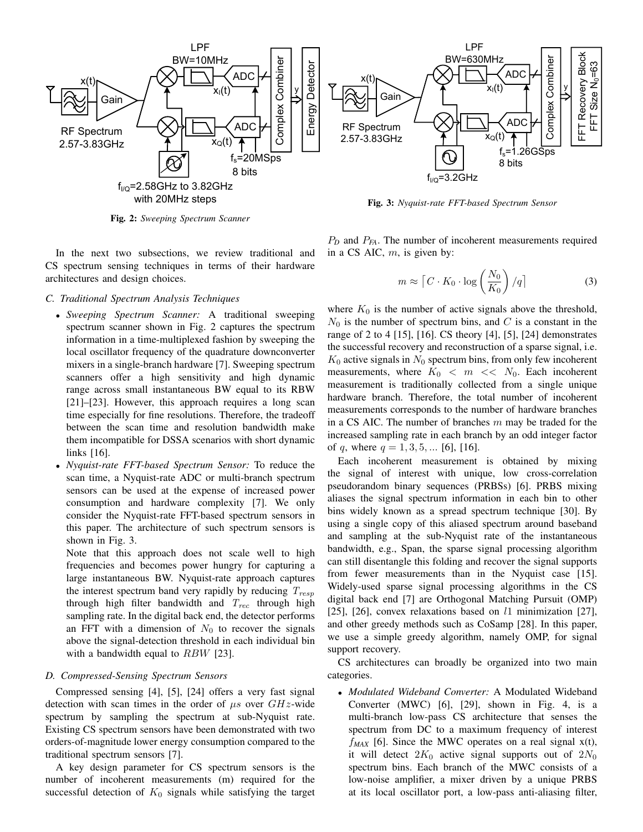

Fig. 2: *Sweeping Spectrum Scanner*

In the next two subsections, we review traditional and CS spectrum sensing techniques in terms of their hardware architectures and design choices.

#### *C. Traditional Spectrum Analysis Techniques*

- *• Sweeping Spectrum Scanner:* A traditional sweeping spectrum scanner shown in Fig. 2 captures the spectrum information in a time-multiplexed fashion by sweeping the local oscillator frequency of the quadrature downconverter mixers in a single-branch hardware [7]. Sweeping spectrum scanners offer a high sensitivity and high dynamic range across small instantaneous BW equal to its RBW [21]–[23]. However, this approach requires a long scan time especially for fine resolutions. Therefore, the tradeoff between the scan time and resolution bandwidth make them incompatible for DSSA scenarios with short dynamic links [16].
- *• Nyquist-rate FFT-based Spectrum Sensor:* To reduce the scan time, a Nyquist-rate ADC or multi-branch spectrum sensors can be used at the expense of increased power consumption and hardware complexity [7]. We only consider the Nyquist-rate FFT-based spectrum sensors in this paper. The architecture of such spectrum sensors is shown in Fig. 3.

Note that this approach does not scale well to high frequencies and becomes power hungry for capturing a large instantaneous BW. Nyquist-rate approach captures the interest spectrum band very rapidly by reducing *Tresp* through high filter bandwidth and *Trec* through high sampling rate. In the digital back end, the detector performs an FFT with a dimension of  $N_0$  to recover the signals above the signal-detection threshold in each individual bin with a bandwidth equal to *RBW* [23].

#### *D. Compressed-Sensing Spectrum Sensors*

Compressed sensing [4], [5], [24] offers a very fast signal detection with scan times in the order of *µs* over *GHz*-wide spectrum by sampling the spectrum at sub-Nyquist rate. Existing CS spectrum sensors have been demonstrated with two orders-of-magnitude lower energy consumption compared to the traditional spectrum sensors [7].

A key design parameter for CS spectrum sensors is the number of incoherent measurements (m) required for the successful detection of  $K_0$  signals while satisfying the target *P<sup>D</sup>* and *PFA*. The number of incoherent measurements required

in a CS AIC, *m*, is given by:

$$
m \approx \left[ C \cdot K_0 \cdot \log \left( \frac{N_0}{K_0} \right) / q \right] \tag{3}
$$

where  $K_0$  is the number of active signals above the threshold,  $N_0$  is the number of spectrum bins, and  $C$  is a constant in the range of 2 to 4 [15], [16]. CS theory [4], [5], [24] demonstrates the successful recovery and reconstruction of a sparse signal, i.e.  $K_0$  active signals in  $N_0$  spectrum bins, from only few incoherent measurements, where  $K_0 < m \ll N_0$ . Each incoherent measurement is traditionally collected from a single unique hardware branch. Therefore, the total number of incoherent measurements corresponds to the number of hardware branches in a CS AIC. The number of branches *m* may be traded for the increased sampling rate in each branch by an odd integer factor of *q*, where  $q = 1, 3, 5, \dots$  [6], [16].

Each incoherent measurement is obtained by mixing the signal of interest with unique, low cross-correlation pseudorandom binary sequences (PRBSs) [6]. PRBS mixing aliases the signal spectrum information in each bin to other bins widely known as a spread spectrum technique [30]. By using a single copy of this aliased spectrum around baseband and sampling at the sub-Nyquist rate of the instantaneous bandwidth, e.g., Span, the sparse signal processing algorithm can still disentangle this folding and recover the signal supports from fewer measurements than in the Nyquist case [15]. Widely-used sparse signal processing algorithms in the CS digital back end [7] are Orthogonal Matching Pursuit (OMP) [25], [26], convex relaxations based on *l*1 minimization [27], and other greedy methods such as CoSamp [28]. In this paper, we use a simple greedy algorithm, namely OMP, for signal support recovery.

CS architectures can broadly be organized into two main categories.

*• Modulated Wideband Converter:* A Modulated Wideband Converter (MWC) [6], [29], shown in Fig. 4, is a multi-branch low-pass CS architecture that senses the spectrum from DC to a maximum frequency of interest  $f_{MAX}$  [6]. Since the MWC operates on a real signal  $x(t)$ , it will detect  $2K_0$  active signal supports out of  $2N_0$ spectrum bins. Each branch of the MWC consists of a low-noise amplifier, a mixer driven by a unique PRBS at its local oscillator port, a low-pass anti-aliasing filter,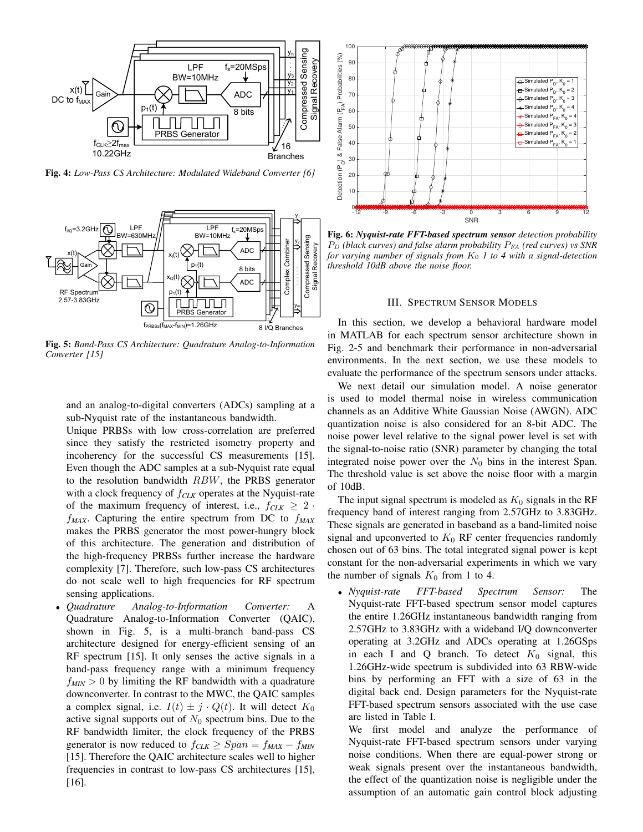

Fig. 4: *Low-Pass CS Architecture: Modulated Wideband Converter [6]*



Fig. 5: *Band-Pass CS Architecture: Quadrature Analog-to-Information Converter [15]*

and an analog-to-digital converters (ADCs) sampling at a sub-Nyquist rate of the instantaneous bandwidth.

Unique PRBSs with low cross-correlation are preferred since they satisfy the restricted isometry property and incoherency for the successful CS measurements [15]. Even though the ADC samples at a sub-Nyquist rate equal to the resolution bandwidth *RBW*, the PRBS generator with a clock frequency of *fCLK* operates at the Nyquist-rate of the maximum frequency of interest, i.e.,  $f_{CLK} \geq 2$ . *fMAX*. Capturing the entire spectrum from DC to *fMAX* makes the PRBS generator the most power-hungry block of this architecture. The generation and distribution of the high-frequency PRBSs further increase the hardware complexity [7]. Therefore, such low-pass CS architectures do not scale well to high frequencies for RF spectrum sensing applications.

*• Quadrature Analog-to-Information Converter:* A Quadrature Analog-to-Information Converter (QAIC), shown in Fig. 5, is a multi-branch band-pass CS architecture designed for energy-efficient sensing of an RF spectrum [15]. It only senses the active signals in a band-pass frequency range with a minimum frequency  $f_{MIN}$  > 0 by limiting the RF bandwidth with a quadrature downconverter. In contrast to the MWC, the QAIC samples a complex signal, i.e.  $I(t) \pm j \cdot Q(t)$ . It will detect  $K_0$ active signal supports out of  $N_0$  spectrum bins. Due to the RF bandwidth limiter, the clock frequency of the PRBS generator is now reduced to  $f_{CLK} \geq Span = f_{MAX} - f_{MIN}$ [15]. Therefore the QAIC architecture scales well to higher frequencies in contrast to low-pass CS architectures [15], [16].



Fig. 6: *Nyquist-rate FFT-based spectrum sensor detection probability P<sup>D</sup> (black curves) and false alarm probability PFA (red curves) vs SNR for varying number of signals from K*<sup>0</sup> *1 to 4 with a signal-detection threshold 10dB above the noise floor.*

#### III. SPECTRUM SENSOR MODELS

In this section, we develop a behavioral hardware model in MATLAB for each spectrum sensor architecture shown in Fig. 2-5 and benchmark their performance in non-adversarial environments. In the next section, we use these models to evaluate the performance of the spectrum sensors under attacks.

We next detail our simulation model. A noise generator is used to model thermal noise in wireless communication channels as an Additive White Gaussian Noise (AWGN). ADC quantization noise is also considered for an 8-bit ADC. The noise power level relative to the signal power level is set with the signal-to-noise ratio (SNR) parameter by changing the total integrated noise power over the  $N_0$  bins in the interest Span. The threshold value is set above the noise floor with a margin of 10dB.

The input signal spectrum is modeled as  $K_0$  signals in the RF frequency band of interest ranging from 2.57GHz to 3.83GHz. These signals are generated in baseband as a band-limited noise signal and upconverted to  $K_0$  RF center frequencies randomly chosen out of 63 bins. The total integrated signal power is kept constant for the non-adversarial experiments in which we vary the number of signals  $K_0$  from 1 to 4.

*• Nyquist-rate FFT-based Spectrum Sensor:* The Nyquist-rate FFT-based spectrum sensor model captures the entire 1.26GHz instantaneous bandwidth ranging from 2.57GHz to 3.83GHz with a wideband I/Q downconverter operating at 3.2GHz and ADCs operating at 1.26GSps in each I and Q branch. To detect  $K_0$  signal, this 1.26GHz-wide spectrum is subdivided into 63 RBW-wide bins by performing an FFT with a size of 63 in the digital back end. Design parameters for the Nyquist-rate FFT-based spectrum sensors associated with the use case are listed in Table I.

We first model and analyze the performance of Nyquist-rate FFT-based spectrum sensors under varying noise conditions. When there are equal-power strong or weak signals present over the instantaneous bandwidth, the effect of the quantization noise is negligible under the assumption of an automatic gain control block adjusting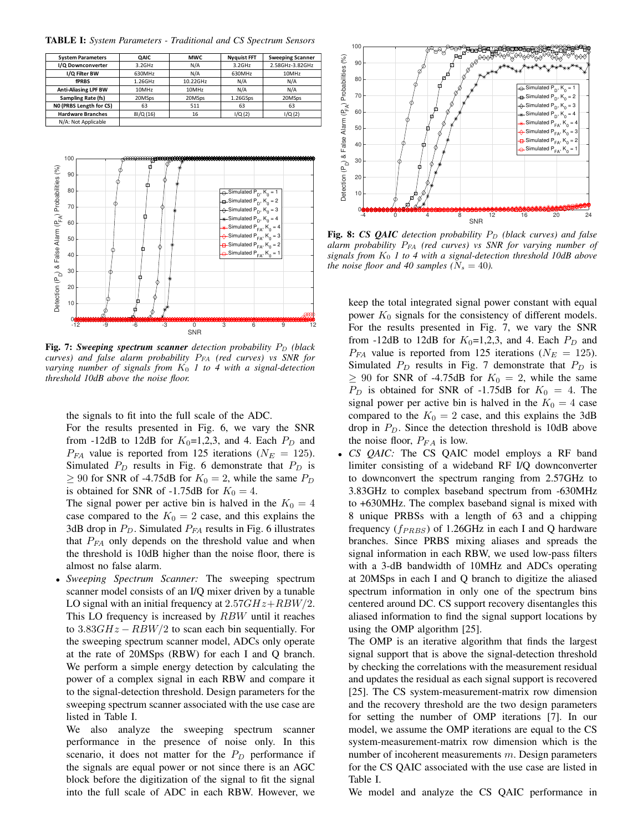TABLE I: *System Parameters - Traditional and CS Spectrum Sensors*

| <b>System Parameters</b>    | QAIC     | <b>MWC</b> | <b>Nyquist FFT</b> | <b>Sweeping Scanner</b> |
|-----------------------------|----------|------------|--------------------|-------------------------|
| I/Q Downconverter           | 3.2GHz   | N/A        | $3.2$ GHz          | 2.58GHz-3.82GHz         |
| I/Q Filter BW               | 630MHz   | N/A        | 630MHz             | 10MHz                   |
| <b>fPRBS</b>                | 1.26GHz  | 10.22GHz   | N/A                | N/A                     |
| <b>Anti-Aliasing LPF BW</b> | 10MHz    | 10MHz      | N/A                | N/A                     |
| <b>Sampling Rate (fs)</b>   | 20MSps   | 20MSps     | 1.26GSps           | 20MSps                  |
| NO (PRBS Length for CS)     | 63       | 511        | 63                 | 63                      |
| <b>Hardware Branches</b>    | 81/Q(16) | 16         | 1/Q(2)             | 1/Q(2)                  |
| N/A: Not Applicable         |          |            |                    |                         |



Fig. 7: *Sweeping spectrum scanner detection probability P<sup>D</sup> (black curves) and false alarm probability PFA (red curves) vs SNR for varying number of signals from K*<sup>0</sup> *1 to 4 with a signal-detection threshold 10dB above the noise floor.*

the signals to fit into the full scale of the ADC.

For the results presented in Fig. 6, we vary the SNR from  $-12$ dB to 12dB for  $K_0=1,2,3$ , and 4. Each  $P_D$  and  $P_{FA}$  value is reported from 125 iterations ( $N_E = 125$ ). Simulated  $P_D$  results in Fig. 6 demonstrate that  $P_D$  is  $\geq$  90 for SNR of -4.75dB for  $K_0 = 2$ , while the same  $P_D$ is obtained for SNR of -1.75dB for  $K_0 = 4$ .

The signal power per active bin is halved in the  $K_0 = 4$ case compared to the  $K_0 = 2$  case, and this explains the 3dB drop in *P<sup>D</sup>* . Simulated *PFA* results in Fig. 6 illustrates that *PFA* only depends on the threshold value and when the threshold is 10dB higher than the noise floor, there is almost no false alarm.

*• Sweeping Spectrum Scanner:* The sweeping spectrum scanner model consists of an I/Q mixer driven by a tunable LO signal with an initial frequency at 2*.*57*GHz*+*RBW/*2. This LO frequency is increased by *RBW* until it reaches to  $3.83GHz - RBW/2$  to scan each bin sequentially. For the sweeping spectrum scanner model, ADCs only operate at the rate of 20MSps (RBW) for each I and Q branch. We perform a simple energy detection by calculating the power of a complex signal in each RBW and compare it to the signal-detection threshold. Design parameters for the sweeping spectrum scanner associated with the use case are listed in Table I.

We also analyze the sweeping spectrum scanner performance in the presence of noise only. In this scenario, it does not matter for the  $P<sub>D</sub>$  performance if the signals are equal power or not since there is an AGC block before the digitization of the signal to fit the signal into the full scale of ADC in each RBW. However, we



Fig. 8: *CS QAIC detection probability P<sup>D</sup> (black curves) and false alarm probability PFA (red curves) vs SNR for varying number of signals from K*<sup>0</sup> *1 to 4 with a signal-detection threshold 10dB above the noise floor and 40 samples (* $N_s = 40$ *).* 

keep the total integrated signal power constant with equal power  $K_0$  signals for the consistency of different models. For the results presented in Fig. 7, we vary the SNR from  $-12$ dB to 12dB for  $K_0=1,2,3$ , and 4. Each  $P_D$  and  $P_{FA}$  value is reported from 125 iterations ( $N_E = 125$ ). Simulated  $P_D$  results in Fig. 7 demonstrate that  $P_D$  is  $\geq$  90 for SNR of -4.75dB for  $K_0 = 2$ , while the same  $P_D$  is obtained for SNR of -1.75dB for  $K_0 = 4$ . The signal power per active bin is halved in the  $K_0 = 4$  case compared to the  $K_0 = 2$  case, and this explains the 3dB drop in *P<sup>D</sup>* . Since the detection threshold is 10dB above the noise floor,  $P_{FA}$  is low.

*CS QAIC:* The CS QAIC model employs a RF band limiter consisting of a wideband RF I/Q downconverter to downconvert the spectrum ranging from 2.57GHz to 3.83GHz to complex baseband spectrum from -630MHz to +630MHz. The complex baseband signal is mixed with 8 unique PRBSs with a length of 63 and a chipping frequency (*fPRBS* ) of 1.26GHz in each I and Q hardware branches. Since PRBS mixing aliases and spreads the signal information in each RBW, we used low-pass filters with a 3-dB bandwidth of 10MHz and ADCs operating at 20MSps in each I and Q branch to digitize the aliased spectrum information in only one of the spectrum bins centered around DC. CS support recovery disentangles this aliased information to find the signal support locations by using the OMP algorithm [25].

The OMP is an iterative algorithm that finds the largest signal support that is above the signal-detection threshold by checking the correlations with the measurement residual and updates the residual as each signal support is recovered [25]. The CS system-measurement-matrix row dimension and the recovery threshold are the two design parameters for setting the number of OMP iterations [7]. In our model, we assume the OMP iterations are equal to the CS system-measurement-matrix row dimension which is the number of incoherent measurements *m*. Design parameters for the CS QAIC associated with the use case are listed in Table I.

We model and analyze the CS QAIC performance in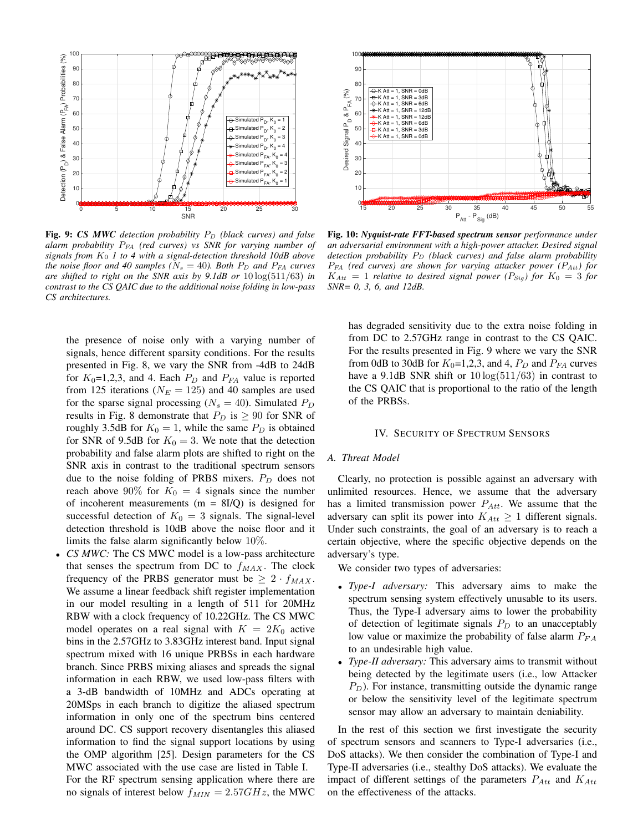

Fig. 9: *CS MWC detection probability P<sup>D</sup> (black curves) and false alarm probability PFA (red curves) vs SNR for varying number of signals from K*<sup>0</sup> *1 to 4 with a signal-detection threshold 10dB above the noise floor and 40 samples (* $N_s = 40$ *). Both*  $P_D$  *and*  $P_{FA}$  *curves are shifted to right on the SNR axis by 9.1dB or* 10 log(511*/*63) *in contrast to the CS QAIC due to the additional noise folding in low-pass CS architectures.*

the presence of noise only with a varying number of signals, hence different sparsity conditions. For the results presented in Fig. 8, we vary the SNR from -4dB to 24dB for  $K_0=1,2,3$ , and 4. Each  $P_D$  and  $P_{FA}$  value is reported from 125 iterations ( $N_E = 125$ ) and 40 samples are used for the sparse signal processing ( $N_s = 40$ ). Simulated  $P_D$ results in Fig. 8 demonstrate that  $P_D$  is  $\geq 90$  for SNR of roughly 3.5dB for  $K_0 = 1$ , while the same  $P_D$  is obtained for SNR of 9.5dB for  $K_0 = 3$ . We note that the detection probability and false alarm plots are shifted to right on the SNR axis in contrast to the traditional spectrum sensors due to the noise folding of PRBS mixers. *P<sup>D</sup>* does not reach above  $90\%$  for  $K_0 = 4$  signals since the number of incoherent measurements ( $m = 8I/Q$ ) is designed for successful detection of  $K_0 = 3$  signals. The signal-level detection threshold is 10dB above the noise floor and it limits the false alarm significantly below 10%.

*• CS MWC:* The CS MWC model is a low-pass architecture that senses the spectrum from DC to  $f_{MAX}$ . The clock frequency of the PRBS generator must be  $\geq 2 \cdot f_{MAX}$ . We assume a linear feedback shift register implementation in our model resulting in a length of 511 for 20MHz RBW with a clock frequency of 10.22GHz. The CS MWC model operates on a real signal with  $K = 2K_0$  active bins in the 2.57GHz to 3.83GHz interest band. Input signal spectrum mixed with 16 unique PRBSs in each hardware branch. Since PRBS mixing aliases and spreads the signal information in each RBW, we used low-pass filters with a 3-dB bandwidth of 10MHz and ADCs operating at 20MSps in each branch to digitize the aliased spectrum information in only one of the spectrum bins centered around DC. CS support recovery disentangles this aliased information to find the signal support locations by using the OMP algorithm [25]. Design parameters for the CS MWC associated with the use case are listed in Table I. For the RF spectrum sensing application where there are

no signals of interest below  $f_{MIN} = 2.57GHz$ , the MWC



Fig. 10: *Nyquist-rate FFT-based spectrum sensor performance under an adversarial environment with a high-power attacker. Desired signal detection probability P<sup>D</sup> (black curves) and false alarm probability PFA (red curves) are shown for varying attacker power (PAtt) for*  $K_{Att} = 1$  *relative to desired signal power* ( $P_{Sig}$ ) for  $K_0 = 3$  for *SNR= 0, 3, 6, and 12dB.*

has degraded sensitivity due to the extra noise folding in from DC to 2.57GHz range in contrast to the CS QAIC. For the results presented in Fig. 9 where we vary the SNR from 0dB to 30dB for  $K_0=1,2,3$ , and 4,  $P_D$  and  $P_{FA}$  curves have a 9.1dB SNR shift or 10 log(511*/*63) in contrast to the CS QAIC that is proportional to the ratio of the length of the PRBSs.

#### IV. SECURITY OF SPECTRUM SENSORS

### *A. Threat Model*

Clearly, no protection is possible against an adversary with unlimited resources. Hence, we assume that the adversary has a limited transmission power *PAtt*. We assume that the adversary can split its power into  $K_{Att} \geq 1$  different signals. Under such constraints, the goal of an adversary is to reach a certain objective, where the specific objective depends on the adversary's type.

We consider two types of adversaries:

- *• Type-I adversary:* This adversary aims to make the spectrum sensing system effectively unusable to its users. Thus, the Type-I adversary aims to lower the probability of detection of legitimate signals *P<sup>D</sup>* to an unacceptably low value or maximize the probability of false alarm *PF A* to an undesirable high value.
- *• Type-II adversary:* This adversary aims to transmit without being detected by the legitimate users (i.e., low Attacker *P<sup>D</sup>* ). For instance, transmitting outside the dynamic range or below the sensitivity level of the legitimate spectrum sensor may allow an adversary to maintain deniability.

In the rest of this section we first investigate the security of spectrum sensors and scanners to Type-I adversaries (i.e., DoS attacks). We then consider the combination of Type-I and Type-II adversaries (i.e., stealthy DoS attacks). We evaluate the impact of different settings of the parameters *PAtt* and *KAtt* on the effectiveness of the attacks.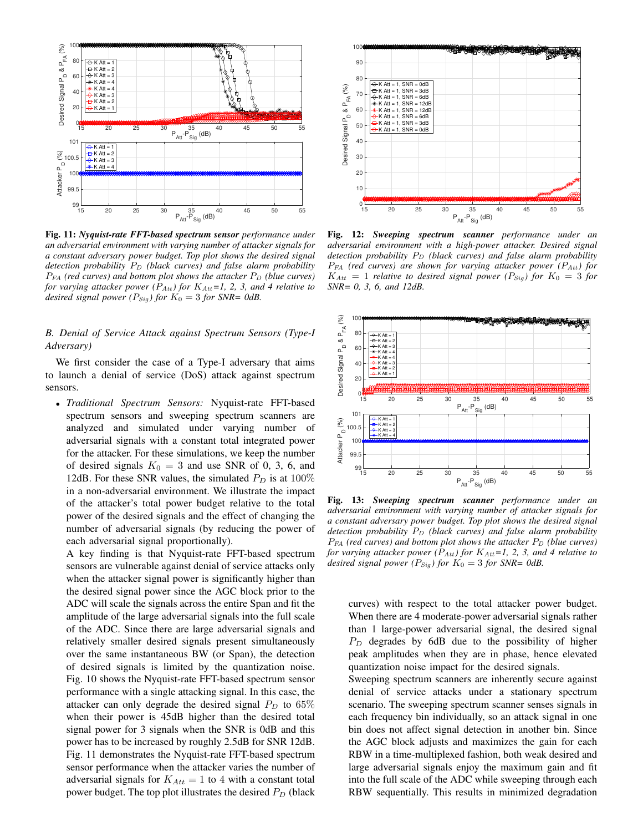

Fig. 11: *Nyquist-rate FFT-based spectrum sensor performance under an adversarial environment with varying number of attacker signals for a constant adversary power budget. Top plot shows the desired signal detection probability P<sup>D</sup> (black curves) and false alarm probability PFA (red curves) and bottom plot shows the attacker P<sup>D</sup> (blue curves) for varying attacker power*  $(P_{Att})$  *for*  $K_{Att} = 1, 2, 3,$  *and* 4 *relative to desired signal power*  $(P_{Sig})$  *for*  $K_0 = 3$  *for SNR= 0dB.* 

# *B. Denial of Service Attack against Spectrum Sensors (Type-I Adversary)*

We first consider the case of a Type-I adversary that aims to launch a denial of service (DoS) attack against spectrum sensors.

*• Traditional Spectrum Sensors:* Nyquist-rate FFT-based spectrum sensors and sweeping spectrum scanners are analyzed and simulated under varying number of adversarial signals with a constant total integrated power for the attacker. For these simulations, we keep the number of desired signals  $K_0 = 3$  and use SNR of 0, 3, 6, and 12dB. For these SNR values, the simulated  $P_D$  is at 100% in a non-adversarial environment. We illustrate the impact of the attacker's total power budget relative to the total power of the desired signals and the effect of changing the number of adversarial signals (by reducing the power of each adversarial signal proportionally).

A key finding is that Nyquist-rate FFT-based spectrum sensors are vulnerable against denial of service attacks only when the attacker signal power is significantly higher than the desired signal power since the AGC block prior to the ADC will scale the signals across the entire Span and fit the amplitude of the large adversarial signals into the full scale of the ADC. Since there are large adversarial signals and relatively smaller desired signals present simultaneously over the same instantaneous BW (or Span), the detection of desired signals is limited by the quantization noise. Fig. 10 shows the Nyquist-rate FFT-based spectrum sensor performance with a single attacking signal. In this case, the attacker can only degrade the desired signal  $P_D$  to 65% when their power is 45dB higher than the desired total signal power for 3 signals when the SNR is 0dB and this power has to be increased by roughly 2.5dB for SNR 12dB. Fig. 11 demonstrates the Nyquist-rate FFT-based spectrum sensor performance when the attacker varies the number of adversarial signals for  $K_{Att} = 1$  to 4 with a constant total power budget. The top plot illustrates the desired *P<sup>D</sup>* (black



Fig. 12: *Sweeping spectrum scanner performance under an adversarial environment with a high-power attacker. Desired signal detection probability P<sup>D</sup> (black curves) and false alarm probability PFA (red curves) are shown for varying attacker power (PAtt) for*  $K_{Att} = 1$  *relative to desired signal power* ( $P_{Sig}$ ) for  $K_0 = 3$  for *SNR= 0, 3, 6, and 12dB.*



Fig. 13: *Sweeping spectrum scanner performance under an adversarial environment with varying number of attacker signals for a constant adversary power budget. Top plot shows the desired signal detection probability P<sup>D</sup> (black curves) and false alarm probability PFA (red curves) and bottom plot shows the attacker P<sup>D</sup> (blue curves) for varying attacker power* ( $P_{Att}$ ) *for*  $K_{Att} = 1, 2, 3,$  *and* 4 *relative to desired signal power* ( $P_{Sig}$ ) for  $K_0 = 3$  for SNR= 0dB.

curves) with respect to the total attacker power budget. When there are 4 moderate-power adversarial signals rather than 1 large-power adversarial signal, the desired signal *P<sup>D</sup>* degrades by 6dB due to the possibility of higher peak amplitudes when they are in phase, hence elevated quantization noise impact for the desired signals.

Sweeping spectrum scanners are inherently secure against denial of service attacks under a stationary spectrum scenario. The sweeping spectrum scanner senses signals in each frequency bin individually, so an attack signal in one bin does not affect signal detection in another bin. Since the AGC block adjusts and maximizes the gain for each RBW in a time-multiplexed fashion, both weak desired and large adversarial signals enjoy the maximum gain and fit into the full scale of the ADC while sweeping through each RBW sequentially. This results in minimized degradation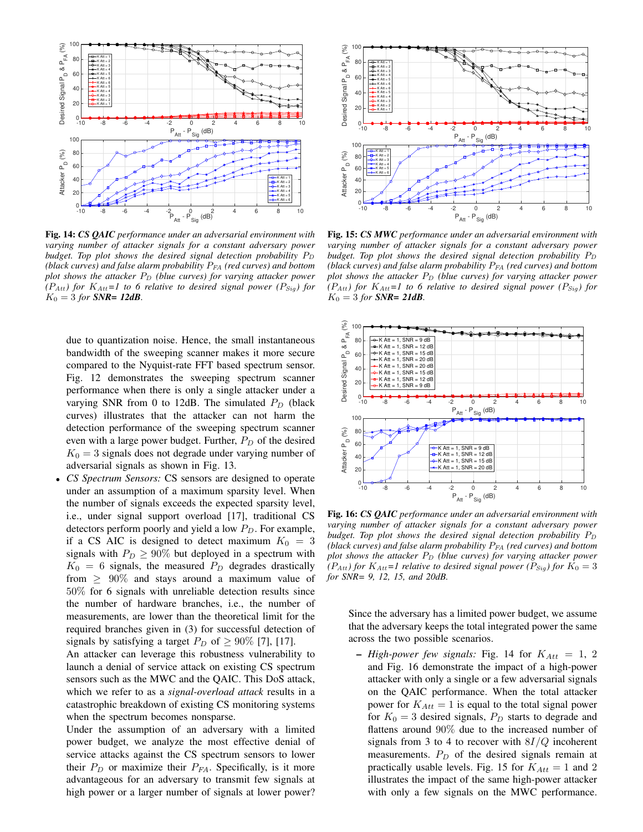

Fig. 14: *CS QAIC performance under an adversarial environment with varying number of attacker signals for a constant adversary power budget. Top plot shows the desired signal detection probability*  $P_D$ *(black curves) and false alarm probability PFA (red curves) and bottom plot shows the attacker P<sup>D</sup> (blue curves) for varying attacker power (P<sub>Att</sub>*) for  $K_{Att} = 1$  to 6 relative to desired signal power ( $P_{Sig}$ ) for  $K_0 = 3$  *for SNR=* 12*dB.* 

due to quantization noise. Hence, the small instantaneous bandwidth of the sweeping scanner makes it more secure compared to the Nyquist-rate FFT based spectrum sensor. Fig. 12 demonstrates the sweeping spectrum scanner performance when there is only a single attacker under a varying SNR from 0 to 12dB. The simulated *P<sup>D</sup>* (black curves) illustrates that the attacker can not harm the detection performance of the sweeping spectrum scanner even with a large power budget. Further, *P<sup>D</sup>* of the desired  $K_0 = 3$  signals does not degrade under varying number of adversarial signals as shown in Fig. 13.

*• CS Spectrum Sensors:* CS sensors are designed to operate under an assumption of a maximum sparsity level. When the number of signals exceeds the expected sparsity level, i.e., under signal support overload [17], traditional CS detectors perform poorly and yield a low  $P_D$ . For example, if a CS AIC is designed to detect maximum  $K_0 = 3$ signals with  $P_D \ge 90\%$  but deployed in a spectrum with  $K_0 = 6$  signals, the measured  $P_D$  degrades drastically from  $\geq 90\%$  and stays around a maximum value of 50% for 6 signals with unreliable detection results since the number of hardware branches, i.e., the number of measurements, are lower than the theoretical limit for the required branches given in (3) for successful detection of signals by satisfying a target  $P_D$  of  $\geq 90\%$  [7], [17].

An attacker can leverage this robustness vulnerability to launch a denial of service attack on existing CS spectrum sensors such as the MWC and the QAIC. This DoS attack, which we refer to as a *signal-overload attack* results in a catastrophic breakdown of existing CS monitoring systems when the spectrum becomes nonsparse.

Under the assumption of an adversary with a limited power budget, we analyze the most effective denial of service attacks against the CS spectrum sensors to lower their  $P_D$  or maximize their  $P_{FA}$ . Specifically, is it more advantageous for an adversary to transmit few signals at high power or a larger number of signals at lower power?



Fig. 15: *CS MWC performance under an adversarial environment with varying number of attacker signals for a constant adversary power budget. Top plot shows the desired signal detection probability*  $P_D$ *(black curves) and false alarm probability PFA (red curves) and bottom plot shows the attacker P<sup>D</sup> (blue curves) for varying attacker power (P<sub>Att</sub>*) for  $K_{Att} = 1$  to 6 relative to desired signal power ( $P_{Siq}$ ) for  $K_0 = 3$  *for SNR*= 21*dB.* 



Fig. 16: *CS QAIC performance under an adversarial environment with varying number of attacker signals for a constant adversary power budget. Top plot shows the desired signal detection probability*  $P_D$ *(black curves) and false alarm probability PFA (red curves) and bottom plot shows the attacker P<sup>D</sup> (blue curves) for varying attacker power (P<sub>Att</sub>*) *for*  $K_{Att}$  = *l relative to desired signal power (P<sub>Sig</sub>) <i>for*  $K_0$  = 3 *for SNR= 9, 12, 15, and 20dB.*

Since the adversary has a limited power budget, we assume that the adversary keeps the total integrated power the same across the two possible scenarios.

 $-$  *High-power few signals:* Fig. 14 for  $K_{Att} = 1, 2$ and Fig. 16 demonstrate the impact of a high-power attacker with only a single or a few adversarial signals on the QAIC performance. When the total attacker power for  $K_{Att} = 1$  is equal to the total signal power for  $K_0 = 3$  desired signals,  $P_D$  starts to degrade and flattens around 90% due to the increased number of signals from 3 to 4 to recover with 8*I/Q* incoherent measurements. *P<sup>D</sup>* of the desired signals remain at practically usable levels. Fig. 15 for  $K_{Att} = 1$  and 2 illustrates the impact of the same high-power attacker with only a few signals on the MWC performance.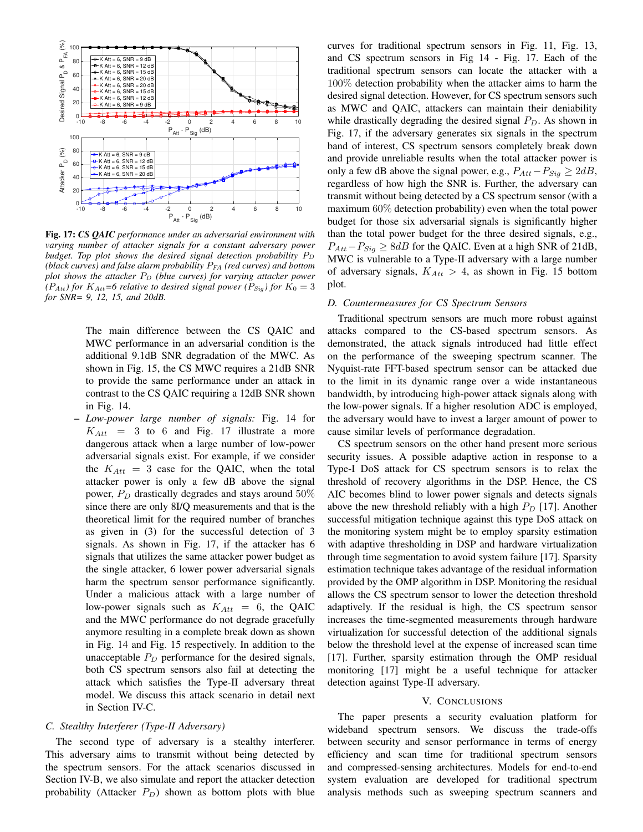

Fig. 17: *CS QAIC performance under an adversarial environment with varying number of attacker signals for a constant adversary power budget. Top plot shows the desired signal detection probability*  $P_D$ *(black curves) and false alarm probability PFA (red curves) and bottom plot shows the attacker P<sup>D</sup> (blue curves) for varying attacker power (P<sub>Att</sub>*) *for*  $K_{Att}$ =6 *relative to desired signal power (P<sub>Sig</sub>) <i>for*  $K_0 = 3$ *for SNR= 9, 12, 15, and 20dB.*

The main difference between the CS QAIC and MWC performance in an adversarial condition is the additional 9.1dB SNR degradation of the MWC. As shown in Fig. 15, the CS MWC requires a 21dB SNR to provide the same performance under an attack in contrast to the CS QAIC requiring a 12dB SNR shown in Fig. 14.

– *Low-power large number of signals:* Fig. 14 for  $K_{Att}$  = 3 to 6 and Fig. 17 illustrate a more dangerous attack when a large number of low-power adversarial signals exist. For example, if we consider the  $K_{Att} = 3$  case for the QAIC, when the total attacker power is only a few dB above the signal power, *P<sup>D</sup>* drastically degrades and stays around 50% since there are only 8I/Q measurements and that is the theoretical limit for the required number of branches as given in (3) for the successful detection of 3 signals. As shown in Fig. 17, if the attacker has 6 signals that utilizes the same attacker power budget as the single attacker, 6 lower power adversarial signals harm the spectrum sensor performance significantly. Under a malicious attack with a large number of low-power signals such as  $K_{Att} = 6$ , the QAIC and the MWC performance do not degrade gracefully anymore resulting in a complete break down as shown in Fig. 14 and Fig. 15 respectively. In addition to the unacceptable  $P<sub>D</sub>$  performance for the desired signals, both CS spectrum sensors also fail at detecting the attack which satisfies the Type-II adversary threat model. We discuss this attack scenario in detail next in Section IV-C.

## *C. Stealthy Interferer (Type-II Adversary)*

The second type of adversary is a stealthy interferer. This adversary aims to transmit without being detected by the spectrum sensors. For the attack scenarios discussed in Section IV-B, we also simulate and report the attacker detection probability (Attacker  $P_D$ ) shown as bottom plots with blue curves for traditional spectrum sensors in Fig. 11, Fig. 13, and CS spectrum sensors in Fig 14 - Fig. 17. Each of the traditional spectrum sensors can locate the attacker with a 100% detection probability when the attacker aims to harm the desired signal detection. However, for CS spectrum sensors such as MWC and QAIC, attackers can maintain their deniability while drastically degrading the desired signal *P<sup>D</sup>* . As shown in Fig. 17, if the adversary generates six signals in the spectrum band of interest, CS spectrum sensors completely break down and provide unreliable results when the total attacker power is only a few dB above the signal power, e.g.,  $P_{Att} - P_{Sig} \geq 2dB$ , regardless of how high the SNR is. Further, the adversary can transmit without being detected by a CS spectrum sensor (with a maximum 60% detection probability) even when the total power budget for those six adversarial signals is significantly higher than the total power budget for the three desired signals, e.g.,  $P_{Att} - P_{Sig} \geq 8dB$  for the QAIC. Even at a high SNR of 21dB, MWC is vulnerable to a Type-II adversary with a large number of adversary signals, *KAtt >* 4, as shown in Fig. 15 bottom plot.

## *D. Countermeasures for CS Spectrum Sensors*

Traditional spectrum sensors are much more robust against attacks compared to the CS-based spectrum sensors. As demonstrated, the attack signals introduced had little effect on the performance of the sweeping spectrum scanner. The Nyquist-rate FFT-based spectrum sensor can be attacked due to the limit in its dynamic range over a wide instantaneous bandwidth, by introducing high-power attack signals along with the low-power signals. If a higher resolution ADC is employed, the adversary would have to invest a larger amount of power to cause similar levels of performance degradation.

CS spectrum sensors on the other hand present more serious security issues. A possible adaptive action in response to a Type-I DoS attack for CS spectrum sensors is to relax the threshold of recovery algorithms in the DSP. Hence, the CS AIC becomes blind to lower power signals and detects signals above the new threshold reliably with a high *P<sup>D</sup>* [17]. Another successful mitigation technique against this type DoS attack on the monitoring system might be to employ sparsity estimation with adaptive thresholding in DSP and hardware virtualization through time segmentation to avoid system failure [17]. Sparsity estimation technique takes advantage of the residual information provided by the OMP algorithm in DSP. Monitoring the residual allows the CS spectrum sensor to lower the detection threshold adaptively. If the residual is high, the CS spectrum sensor increases the time-segmented measurements through hardware virtualization for successful detection of the additional signals below the threshold level at the expense of increased scan time [17]. Further, sparsity estimation through the OMP residual monitoring [17] might be a useful technique for attacker detection against Type-II adversary.

#### V. CONCLUSIONS

The paper presents a security evaluation platform for wideband spectrum sensors. We discuss the trade-offs between security and sensor performance in terms of energy efficiency and scan time for traditional spectrum sensors and compressed-sensing architectures. Models for end-to-end system evaluation are developed for traditional spectrum analysis methods such as sweeping spectrum scanners and